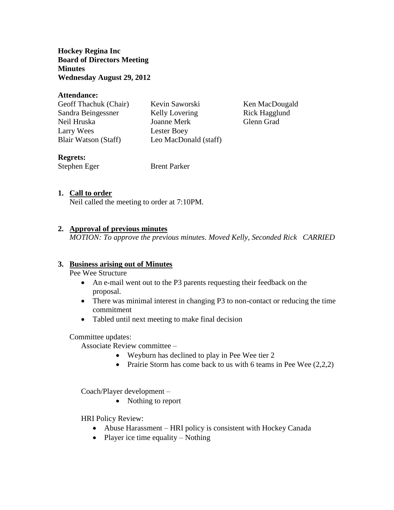**Hockey Regina Inc Board of Directors Meeting Minutes Wednesday August 29, 2012**

#### **Attendance:**

Geoff Thachuk (Chair) Kevin Saworski Ken MacDougald Sandra Beingessner Kelly Lovering Rick Hagglund Neil Hruska Joanne Merk Glenn Grad Larry Wees Lester Boey Blair Watson (Staff) Leo MacDonald (staff)

# **Regrets:**

Stephen Eger Brent Parker

# **1. Call to order**

Neil called the meeting to order at 7:10PM.

# **2. Approval of previous minutes**

*MOTION: To approve the previous minutes. Moved Kelly, Seconded Rick CARRIED*

# **3. Business arising out of Minutes**

Pee Wee Structure

- An e-mail went out to the P3 parents requesting their feedback on the proposal.
- There was minimal interest in changing P3 to non-contact or reducing the time commitment
- Tabled until next meeting to make final decision

#### Committee updates:

Associate Review committee –

- Weyburn has declined to play in Pee Wee tier 2
- Prairie Storm has come back to us with 6 teams in Pee Wee  $(2,2,2)$

Coach/Player development –

• Nothing to report

HRI Policy Review:

- Abuse Harassment HRI policy is consistent with Hockey Canada
- Player ice time equality Nothing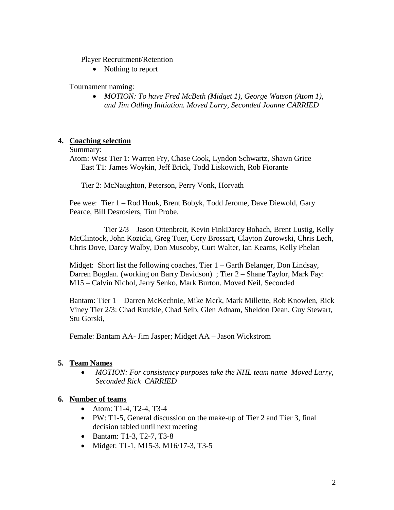Player Recruitment/Retention

• Nothing to report

Tournament naming:

 *MOTION: To have Fred McBeth (Midget 1), George Watson (Atom 1), and Jim Odling Initiation. Moved Larry, Seconded Joanne CARRIED*

# **4. Coaching selection**

### Summary:

Atom: West Tier 1: Warren Fry, Chase Cook, Lyndon Schwartz, Shawn Grice East T1: James Woykin, Jeff Brick, Todd Liskowich, Rob Fiorante

Tier 2: McNaughton, Peterson, Perry Vonk, Horvath

Pee wee: Tier 1 – Rod Houk, Brent Bobyk, Todd Jerome, Dave Diewold, Gary Pearce, Bill Desrosiers, Tim Probe.

Tier 2/3 – Jason Ottenbreit, Kevin FinkDarcy Bohach, Brent Lustig, Kelly McClintock, John Kozicki, Greg Tuer, Cory Brossart, Clayton Zurowski, Chris Lech, Chris Dove, Darcy Walby, Don Muscoby, Curt Walter, Ian Kearns, Kelly Phelan

Midget: Short list the following coaches, Tier 1 – Garth Belanger, Don Lindsay, Darren Bogdan. (working on Barry Davidson) ; Tier 2 – Shane Taylor, Mark Fay: M15 – Calvin Nichol, Jerry Senko, Mark Burton. Moved Neil, Seconded

Bantam: Tier 1 – Darren McKechnie, Mike Merk, Mark Millette, Rob Knowlen, Rick Viney Tier 2/3: Chad Rutckie, Chad Seib, Glen Adnam, Sheldon Dean, Guy Stewart, Stu Gorski,

Female: Bantam AA- Jim Jasper; Midget AA – Jason Wickstrom

# **5. Team Names**

 *MOTION: For consistency purposes take the NHL team name Moved Larry, Seconded Rick CARRIED*

# **6. Number of teams**

- Atom: T1-4, T2-4, T3-4
- PW: T1-5, General discussion on the make-up of Tier 2 and Tier 3, final decision tabled until next meeting
- Bantam: T1-3, T2-7, T3-8
- Midget: T1-1, M15-3, M16/17-3, T3-5